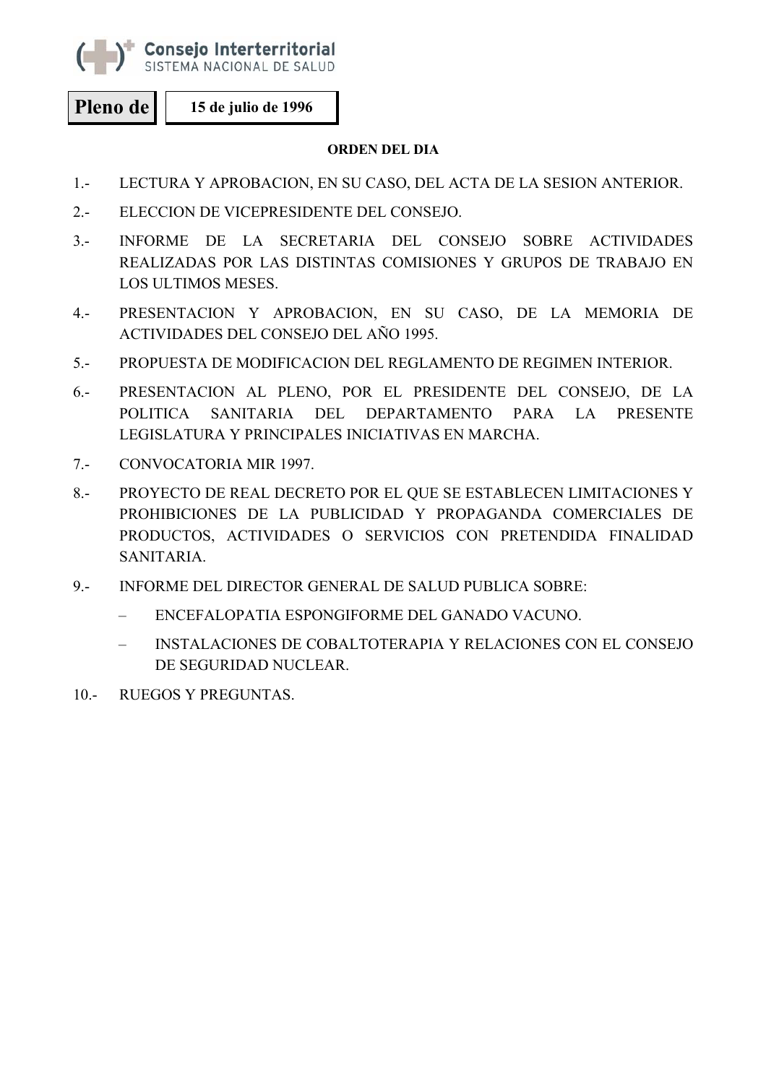

Consejo Interterritorial SISTEMA NACIONAL DE SALUD

**Pleno de 15 de julio de 1996** 

## **ORDEN DEL DIA**

- 1.- LECTURA Y APROBACION, EN SU CASO, DEL ACTA DE LA SESION ANTERIOR.
- 2.- ELECCION DE VICEPRESIDENTE DEL CONSEJO.
- 3.- INFORME DE LA SECRETARIA DEL CONSEJO SOBRE ACTIVIDADES REALIZADAS POR LAS DISTINTAS COMISIONES Y GRUPOS DE TRABAJO EN LOS ULTIMOS MESES.
- 4.- PRESENTACION Y APROBACION, EN SU CASO, DE LA MEMORIA DE ACTIVIDADES DEL CONSEJO DEL AÑO 1995.
- 5.- PROPUESTA DE MODIFICACION DEL REGLAMENTO DE REGIMEN INTERIOR.
- 6.- PRESENTACION AL PLENO, POR EL PRESIDENTE DEL CONSEJO, DE LA POLITICA SANITARIA DEL DEPARTAMENTO PARA LA PRESENTE LEGISLATURA Y PRINCIPALES INICIATIVAS EN MARCHA.
- 7.- CONVOCATORIA MIR 1997.
- 8.- PROYECTO DE REAL DECRETO POR EL QUE SE ESTABLECEN LIMITACIONES Y PROHIBICIONES DE LA PUBLICIDAD Y PROPAGANDA COMERCIALES DE PRODUCTOS, ACTIVIDADES O SERVICIOS CON PRETENDIDA FINALIDAD SANITARIA.
- 9.- INFORME DEL DIRECTOR GENERAL DE SALUD PUBLICA SOBRE:
	- ENCEFALOPATIA ESPONGIFORME DEL GANADO VACUNO.
	- INSTALACIONES DE COBALTOTERAPIA Y RELACIONES CON EL CONSEJO DE SEGURIDAD NUCLEAR.
- 10.- RUEGOS Y PREGUNTAS.